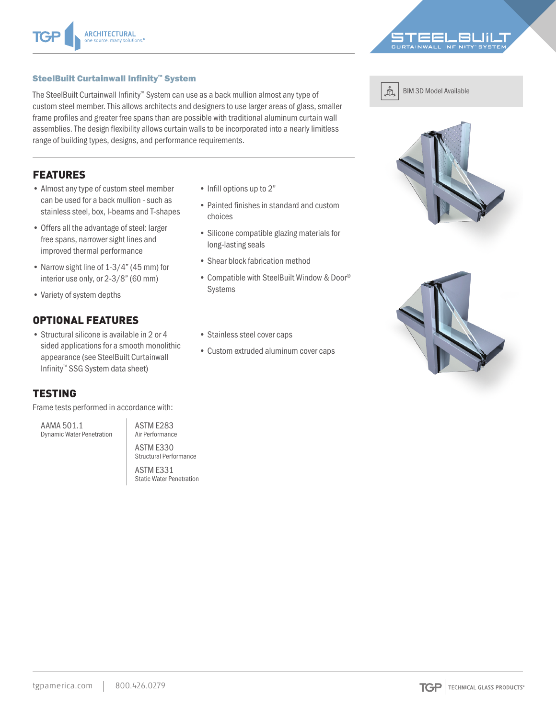

#### SteelBuilt Curtainwall Infinity™ System

The SteelBuilt Curtainwall Infinity™ System can use as a back mullion almost any type of custom steel member. This allows architects and designers to use larger areas of glass, smaller frame profiles and greater free spans than are possible with traditional aluminum curtain wall assemblies. The design flexibility allows curtain walls to be incorporated into a nearly limitless range of building types, designs, and performance requirements.

## FEATURES

- Almost any type of custom steel member can be used for a back mullion - such as stainless steel, box, I-beams and T-shapes
- Offers all the advantage of steel: larger free spans, narrower sight lines and improved thermal performance
- Narrow sight line of 1-3/4" (45 mm) for interior use only, or 2-3/8" (60 mm)
- Variety of system depths

### OPTIONAL FEATURES

• Structural silicone is available in 2 or 4 sided applications for a smooth monolithic appearance (see SteelBuilt Curtainwall Infinity™ SSG System data sheet)

### TESTING

Frame tests performed in accordance with:

AAMA 501.1 Dynamic Water Penetration ASTM E283 Air Performance ASTM E330

Structural Performance ASTM E331

Static Water Penetration

- Infill options up to 2"
- Painted finishes in standard and custom choices
- Silicone compatible glazing materials for long-lasting seals
- Shear block fabrication method
- Compatible with SteelBuilt Window & Door® Systems



BIM 3D Model Available





- Stainless steel cover caps
- Custom extruded aluminum cover caps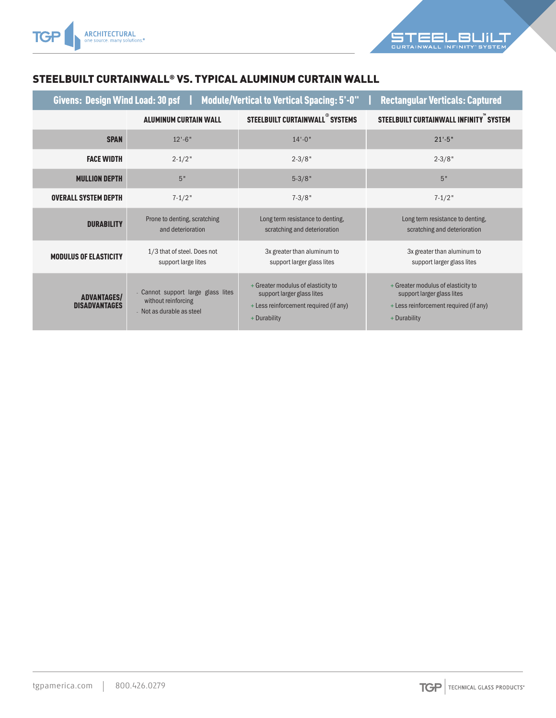

# STEELBUILT CURTAINWALL® VS. TYPICAL ALUMINUM CURTAIN WALLL

| Givens: Design Wind Load: 30 psf   Module/Vertical to Vertical Spacing: 5'-0"<br><b>Rectangular Verticals: Captured</b> |                                                                                        |                                                                                                                            |                                                                                                                            |
|-------------------------------------------------------------------------------------------------------------------------|----------------------------------------------------------------------------------------|----------------------------------------------------------------------------------------------------------------------------|----------------------------------------------------------------------------------------------------------------------------|
|                                                                                                                         | <b>ALUMINUM CURTAIN WALL</b>                                                           | STEELBUILT CURTAINWALL <sup>®</sup> SYSTEMS                                                                                | STEELBUILT CURTAINWALL INFINITY" SYSTEM                                                                                    |
| <b>SPAN</b>                                                                                                             | $12 - 6$ "                                                                             | $14 - 0$ "                                                                                                                 | $21' - 5"$                                                                                                                 |
| <b>FACE WIDTH</b>                                                                                                       | $2 - 1/2$ "                                                                            | $2 - 3/8"$                                                                                                                 | $2 - 3/8"$                                                                                                                 |
| <b>MULLION DEPTH</b>                                                                                                    | 5"                                                                                     | $5 - 3/8"$                                                                                                                 | 5"                                                                                                                         |
| <b>OVERALL SYSTEM DEPTH</b>                                                                                             | $7 - 1/2$ "                                                                            | $7 - 3/8"$                                                                                                                 | $7 - 1/2$ "                                                                                                                |
| <b>DURABILITY</b>                                                                                                       | Prone to denting, scratching<br>and deterioration                                      | Long term resistance to denting,<br>scratching and deterioration                                                           | Long term resistance to denting,<br>scratching and deterioration                                                           |
| <b>MODULUS OF ELASTICITY</b>                                                                                            | 1/3 that of steel. Does not<br>support large lites                                     | 3x greater than aluminum to<br>support larger glass lites                                                                  | 3x greater than aluminum to<br>support larger glass lites                                                                  |
| <b>ADVANTAGES/</b><br><b>DISADVANTAGES</b>                                                                              | - Cannot support large glass lites<br>without reinforcing<br>- Not as durable as steel | + Greater modulus of elasticity to<br>support larger glass lites<br>+ Less reinforcement required (if any)<br>+ Durability | + Greater modulus of elasticity to<br>support larger glass lites<br>+ Less reinforcement required (if any)<br>+ Durability |